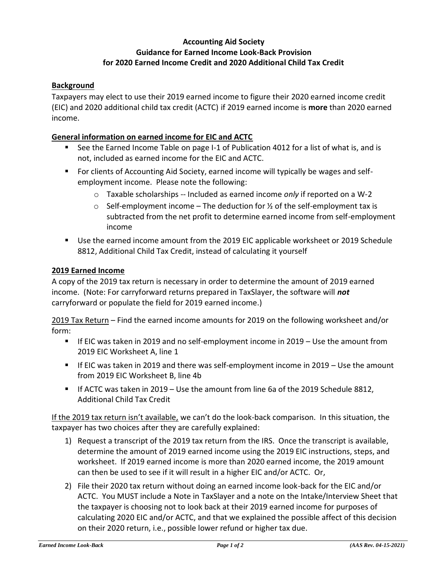# **Accounting Aid Society Guidance for Earned Income Look-Back Provision for 2020 Earned Income Credit and 2020 Additional Child Tax Credit**

### **Background**

Taxpayers may elect to use their 2019 earned income to figure their 2020 earned income credit (EIC) and 2020 additional child tax credit (ACTC) if 2019 earned income is **more** than 2020 earned income.

#### **General information on earned income for EIC and ACTC**

- See the Earned Income Table on page I-1 of Publication 4012 for a list of what is, and is not, included as earned income for the EIC and ACTC.
- For clients of Accounting Aid Society, earned income will typically be wages and selfemployment income. Please note the following:
	- o Taxable scholarships -- Included as earned income *only* if reported on a W-2
	- $\circ$  Self-employment income The deduction for  $\frac{1}{2}$  of the self-employment tax is subtracted from the net profit to determine earned income from self-employment income
- Use the earned income amount from the 2019 EIC applicable worksheet or 2019 Schedule 8812, Additional Child Tax Credit, instead of calculating it yourself

#### **2019 Earned Income**

A copy of the 2019 tax return is necessary in order to determine the amount of 2019 earned income. (Note: For carryforward returns prepared in TaxSlayer, the software will *not* carryforward or populate the field for 2019 earned income.)

2019 Tax Return – Find the earned income amounts for 2019 on the following worksheet and/or form:

- If EIC was taken in 2019 and no self-employment income in 2019 Use the amount from 2019 EIC Worksheet A, line 1
- If EIC was taken in 2019 and there was self-employment income in  $2019 -$  Use the amount from 2019 EIC Worksheet B, line 4b
- If ACTC was taken in 2019 Use the amount from line 6a of the 2019 Schedule 8812, Additional Child Tax Credit

If the 2019 tax return isn't available, we can't do the look-back comparison. In this situation, the taxpayer has two choices after they are carefully explained:

- 1) Request a transcript of the 2019 tax return from the IRS. Once the transcript is available, determine the amount of 2019 earned income using the 2019 EIC instructions, steps, and worksheet. If 2019 earned income is more than 2020 earned income, the 2019 amount can then be used to see if it will result in a higher EIC and/or ACTC. Or,
- 2) File their 2020 tax return without doing an earned income look-back for the EIC and/or ACTC. You MUST include a Note in TaxSlayer and a note on the Intake/Interview Sheet that the taxpayer is choosing not to look back at their 2019 earned income for purposes of calculating 2020 EIC and/or ACTC, and that we explained the possible affect of this decision on their 2020 return, i.e., possible lower refund or higher tax due.